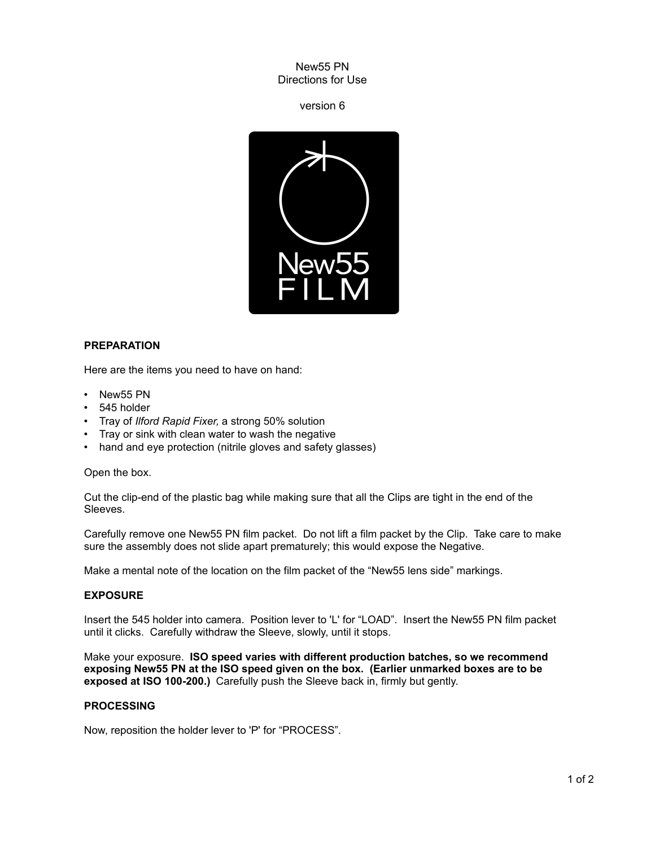New55 PN Directions for Use

version 6



# **PREPARATION**

Here are the items you need to have on hand:

- New55 PN
- 545 holder
- Tray of *Ilford Rapid Fixer,* a strong 50% solution
- Tray or sink with clean water to wash the negative
- hand and eye protection (nitrile gloves and safety glasses)

#### Open the box.

Cut the clip-end of the plastic bag while making sure that all the Clips are tight in the end of the Sleeves.

Carefully remove one New55 PN film packet. Do not lift a film packet by the Clip. Take care to make sure the assembly does not slide apart prematurely; this would expose the Negative.

Make a mental note of the location on the film packet of the "New55 lens side" markings.

# **EXPOSURE**

Insert the 545 holder into camera. Position lever to 'L' for "LOAD". Insert the New55 PN film packet until it clicks. Carefully withdraw the Sleeve, slowly, until it stops.

Make your exposure. **ISO speed varies with different production batches, so we recommend exposing New55 PN at the ISO speed given on the box. (Earlier unmarked boxes are to be exposed at ISO 100-200.)** Carefully push the Sleeve back in, firmly but gently.

# **PROCESSING**

Now, reposition the holder lever to 'P' for "PROCESS".